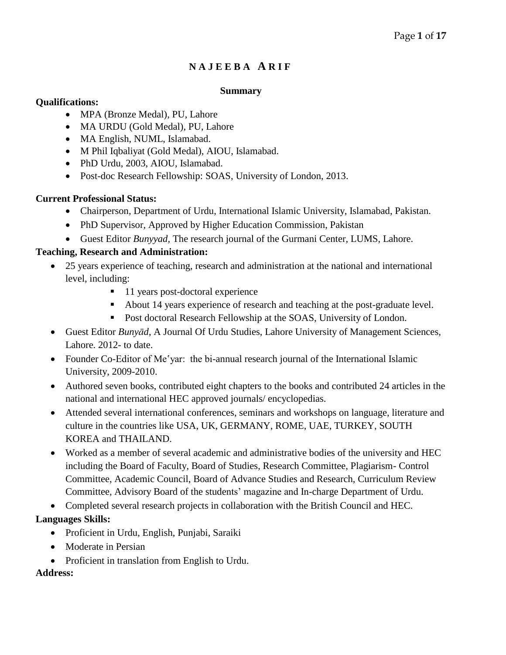# **N A J E E B A A R I F**

#### **Summary**

## **Qualifications:**

- MPA (Bronze Medal), PU, Lahore
- MA URDU (Gold Medal), PU, Lahore
- MA English, NUML, Islamabad.
- M Phil Iqbaliyat (Gold Medal), AIOU, Islamabad.
- PhD Urdu, 2003, AIOU, Islamabad.
- Post-doc Research Fellowship: SOAS, University of London, 2013.

# **Current Professional Status:**

- Chairperson, Department of Urdu, International Islamic University, Islamabad, Pakistan.
- PhD Supervisor, Approved by Higher Education Commission, Pakistan
- Guest Editor *Bunyyad,* The research journal of the Gurmani Center, LUMS, Lahore.

# **Teaching, Research and Administration:**

- 25 years experience of teaching, research and administration at the national and international level, including:
	- 11 years post-doctoral experience
	- About 14 years experience of research and teaching at the post-graduate level.
	- **Post doctoral Research Fellowship at the SOAS, University of London.**
- Guest Editor *Bunyād*, A Journal Of Urdu Studies, Lahore University of Management Sciences, Lahore. 2012- to date.
- Founder Co-Editor of Me'yar: the bi-annual research journal of the International Islamic University, 2009-2010.
- Authored seven books, contributed eight chapters to the books and contributed 24 articles in the national and international HEC approved journals/ encyclopedias.
- Attended several international conferences, seminars and workshops on language, literature and culture in the countries like USA, UK, GERMANY, ROME, UAE, TURKEY, SOUTH KOREA and THAILAND.
- Worked as a member of several academic and administrative bodies of the university and HEC including the Board of Faculty, Board of Studies, Research Committee, Plagiarism- Control Committee, Academic Council, Board of Advance Studies and Research, Curriculum Review Committee, Advisory Board of the students' magazine and In-charge Department of Urdu.
- Completed several research projects in collaboration with the British Council and HEC.

# **Languages Skills:**

- Proficient in Urdu, English, Punjabi, Saraiki
- Moderate in Persian
- Proficient in translation from English to Urdu.

## **Address:**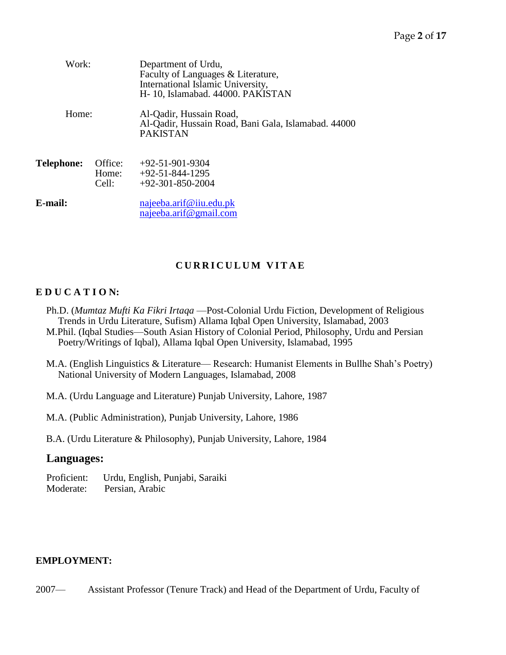| Work:<br>Home: |                           | Department of Urdu,<br>Faculty of Languages & Literature,<br>International Islamic University,<br>H-10, Islamabad. 44000. PAKISTAN |
|----------------|---------------------------|------------------------------------------------------------------------------------------------------------------------------------|
|                |                           | Al-Qadir, Hussain Road,<br>Al-Qadir, Hussain Road, Bani Gala, Islamabad. 44000<br><b>PAKISTAN</b>                                  |
| Telephone:     | Office:<br>Home:<br>Cell: | $+92-51-901-9304$<br>$+92-51-844-1295$<br>$+92-301-850-2004$                                                                       |
| E-mail:        |                           | najeeba.arif@iiu.edu.pk<br>najeeba.arif@gmail.com                                                                                  |

# **C U R R I C U L U M V I T A E**

## **E D U C A T I O N:**

- Ph.D. (*Mumtaz Mufti Ka Fikri Irtaqa* —Post-Colonial Urdu Fiction, Development of Religious Trends in Urdu Literature, Sufism) Allama Iqbal Open University, Islamabad, 2003 M.Phil. (Iqbal Studies—South Asian History of Colonial Period, Philosophy, Urdu and Persian Poetry/Writings of Iqbal), Allama Iqbal Open University, Islamabad, 1995
- M.A. (English Linguistics & Literature— Research: Humanist Elements in Bullhe Shah's Poetry) National University of Modern Languages, Islamabad, 2008
- M.A. (Urdu Language and Literature) Punjab University, Lahore, 1987
- M.A. (Public Administration), Punjab University, Lahore, 1986

B.A. (Urdu Literature & Philosophy), Punjab University, Lahore, 1984

# **Languages:**

Proficient: Urdu, English, Punjabi, Saraiki Moderate: Persian, Arabic

## **EMPLOYMENT:**

2007— Assistant Professor (Tenure Track) and Head of the Department of Urdu, Faculty of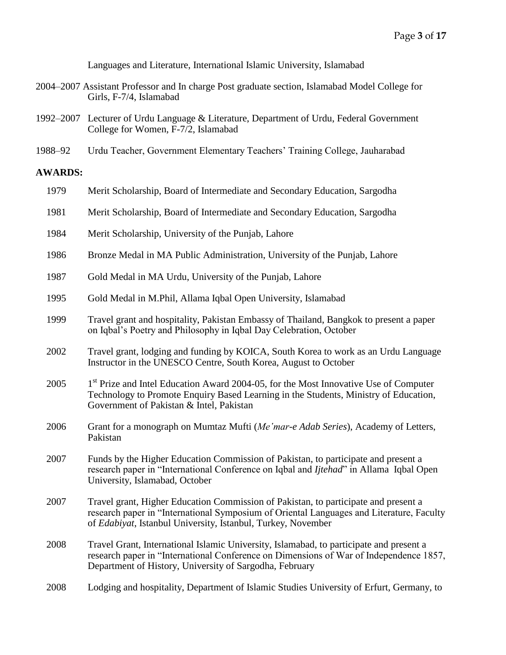Languages and Literature, International Islamic University, Islamabad

- 2004–2007 Assistant Professor and In charge Post graduate section, Islamabad Model College for Girls, F-7/4, Islamabad  $\frac{1}{2}$  Literature, Department of Urdu, Islamabad Model College for Girls, F-7/4, Islamabad Model College for Girls, F-7/4, Islamabad Model College for Girls, F-7/4, Islamabad Model College for G
- 1992–2007 Lecturer of Urdu Language & Literature, Department of Urdu, Federal Government College for Women, F-7/2, Islamabad
- 1988–92 Urdu Teacher, Government Elementary Teachers' Training College, Jauharabad

#### **AWARDS:**

| 1979 | Merit Scholarship, Board of Intermediate and Secondary Education, Sargodha                                                                                                                                                                      |
|------|-------------------------------------------------------------------------------------------------------------------------------------------------------------------------------------------------------------------------------------------------|
| 1981 | Merit Scholarship, Board of Intermediate and Secondary Education, Sargodha                                                                                                                                                                      |
| 1984 | Merit Scholarship, University of the Punjab, Lahore                                                                                                                                                                                             |
| 1986 | Bronze Medal in MA Public Administration, University of the Punjab, Lahore                                                                                                                                                                      |
| 1987 | Gold Medal in MA Urdu, University of the Punjab, Lahore                                                                                                                                                                                         |
| 1995 | Gold Medal in M.Phil, Allama Iqbal Open University, Islamabad                                                                                                                                                                                   |
| 1999 | Travel grant and hospitality, Pakistan Embassy of Thailand, Bangkok to present a paper<br>on Iqbal's Poetry and Philosophy in Iqbal Day Celebration, October                                                                                    |
| 2002 | Travel grant, lodging and funding by KOICA, South Korea to work as an Urdu Language<br>Instructor in the UNESCO Centre, South Korea, August to October                                                                                          |
| 2005 | 1 <sup>st</sup> Prize and Intel Education Award 2004-05, for the Most Innovative Use of Computer<br>Technology to Promote Enquiry Based Learning in the Students, Ministry of Education,<br>Government of Pakistan & Intel, Pakistan            |
| 2006 | Grant for a monograph on Mumtaz Mufti (Me'mar-e Adab Series), Academy of Letters,<br>Pakistan                                                                                                                                                   |
| 2007 | Funds by the Higher Education Commission of Pakistan, to participate and present a<br>research paper in "International Conference on Iqbal and <i>Ijtehad</i> " in Allama Iqbal Open<br>University, Islamabad, October                          |
| 2007 | Travel grant, Higher Education Commission of Pakistan, to participate and present a<br>research paper in "International Symposium of Oriental Languages and Literature, Faculty<br>of Edabiyat, Istanbul University, Istanbul, Turkey, November |
| 2008 | Travel Grant, International Islamic University, Islamabad, to participate and present a<br>research paper in "International Conference on Dimensions of War of Independence 1857,<br>Department of History, University of Sargodha, February    |
| 2008 | Lodging and hospitality, Department of Islamic Studies University of Erfurt, Germany, to                                                                                                                                                        |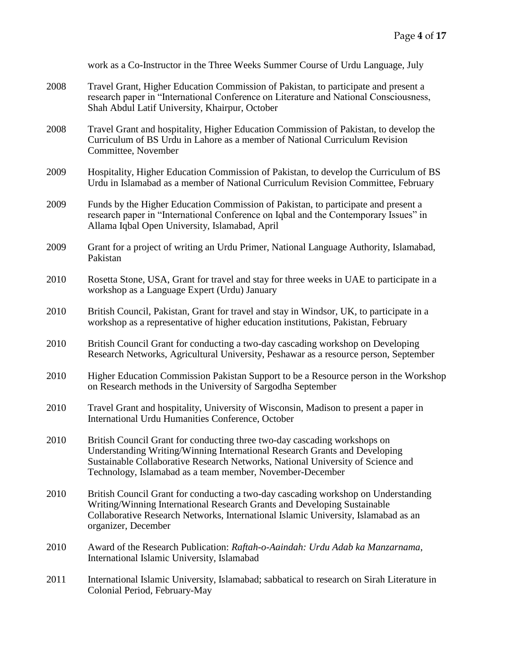|      | work as a Co-Instructor in the Three Weeks Summer Course of Urdu Language, July                                                                                                                                                                                                                         |
|------|---------------------------------------------------------------------------------------------------------------------------------------------------------------------------------------------------------------------------------------------------------------------------------------------------------|
| 2008 | Travel Grant, Higher Education Commission of Pakistan, to participate and present a<br>research paper in "International Conference on Literature and National Consciousness,<br>Shah Abdul Latif University, Khairpur, October                                                                          |
| 2008 | Travel Grant and hospitality, Higher Education Commission of Pakistan, to develop the<br>Curriculum of BS Urdu in Lahore as a member of National Curriculum Revision<br>Committee, November                                                                                                             |
| 2009 | Hospitality, Higher Education Commission of Pakistan, to develop the Curriculum of BS<br>Urdu in Islamabad as a member of National Curriculum Revision Committee, February                                                                                                                              |
| 2009 | Funds by the Higher Education Commission of Pakistan, to participate and present a<br>research paper in "International Conference on Iqbal and the Contemporary Issues" in<br>Allama Iqbal Open University, Islamabad, April                                                                            |
| 2009 | Grant for a project of writing an Urdu Primer, National Language Authority, Islamabad,<br>Pakistan                                                                                                                                                                                                      |
| 2010 | Rosetta Stone, USA, Grant for travel and stay for three weeks in UAE to participate in a<br>workshop as a Language Expert (Urdu) January                                                                                                                                                                |
| 2010 | British Council, Pakistan, Grant for travel and stay in Windsor, UK, to participate in a<br>workshop as a representative of higher education institutions, Pakistan, February                                                                                                                           |
| 2010 | British Council Grant for conducting a two-day cascading workshop on Developing<br>Research Networks, Agricultural University, Peshawar as a resource person, September                                                                                                                                 |
| 2010 | Higher Education Commission Pakistan Support to be a Resource person in the Workshop<br>on Research methods in the University of Sargodha September                                                                                                                                                     |
| 2010 | Travel Grant and hospitality, University of Wisconsin, Madison to present a paper in<br>International Urdu Humanities Conference, October                                                                                                                                                               |
| 2010 | British Council Grant for conducting three two-day cascading workshops on<br>Understanding Writing/Winning International Research Grants and Developing<br>Sustainable Collaborative Research Networks, National University of Science and<br>Technology, Islamabad as a team member, November-December |
| 2010 | British Council Grant for conducting a two-day cascading workshop on Understanding<br>Writing/Winning International Research Grants and Developing Sustainable<br>Collaborative Research Networks, International Islamic University, Islamabad as an<br>organizer, December                             |
| 2010 | Award of the Research Publication: Raftah-o-Aaindah: Urdu Adab ka Manzarnama,<br>International Islamic University, Islamabad                                                                                                                                                                            |
| 2011 | International Islamic University, Islamabad; sabbatical to research on Sirah Literature in<br>Colonial Period, February-May                                                                                                                                                                             |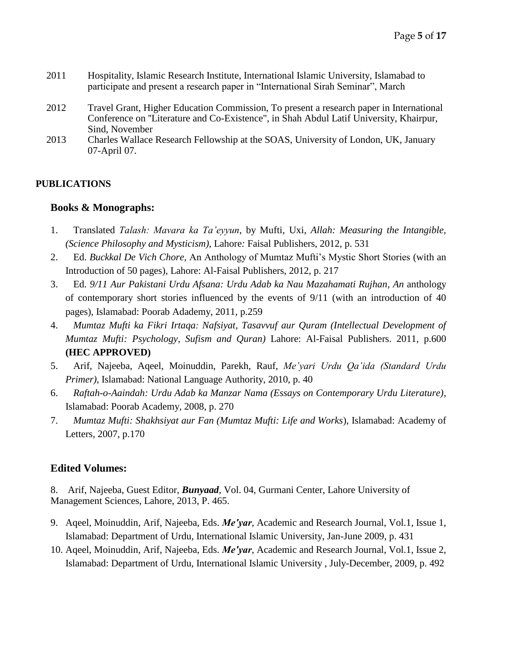- 2011 Hospitality, Islamic Research Institute, International Islamic University, Islamabad to participate and present a research paper in "International Sirah Seminar", March
- 2012 Travel Grant, Higher Education Commission, To present a research paper in International Conference on ''Literature and Co-Existence", in Shah Abdul Latif University, Khairpur, Sind, November
- 2013 Charles Wallace Research Fellowship at the SOAS, University of London, UK, January 07-April 07.

# **PUBLICATIONS**

# **Books & Monographs:**

- 1. Translated *Talash: Mavara ka Ta'eyyun*, by Mufti, Uxi, *Allah: Measuring the Intangible, (Science Philosophy and Mysticism)*, Lahore*:* Faisal Publishers, 2012, p. 531
- 2. Ed. *Buckkal De Vich Chore,* An Anthology of Mumtaz Mufti's Mystic Short Stories (with an Introduction of 50 pages), Lahore: Al-Faisal Publishers, 2012, p. 217
- 3. Ed. *9/11 Aur Pakistani Urdu Afsana: Urdu Adab ka Nau Mazahamati Rujhan, An* anthology of contemporary short stories influenced by the events of 9/11 (with an introduction of 40 pages), Islamabad: Poorab Adademy, 2011, p.259
- 4. *Mumtaz Mufti ka Fikri Irtaqa: Nafsiyat, Tasavvuf aur Quram (Intellectual Development of Mumtaz Mufti: Psychology, Sufism and Quran)* Lahore: Al-Faisal Publishers. 2011, p.600 **(HEC APPROVED)**
- 5. Arif, Najeeba, Aqeel, Moinuddin, Parekh, Rauf, *Me'yari Urdu Qa'ida (Standard Urdu Primer)*, Islamabad: National Language Authority, 2010, p. 40
- 6. *Raftah-o-Aaindah: Urdu Adab ka Manzar Nama (Essays on Contemporary Urdu Literature)*, Islamabad: Poorab Academy, 2008, p. 270
- 7. *Mumtaz Mufti: Shakhsiyat aur Fan (Mumtaz Mufti: Life and Works*), Islamabad: Academy of Letters, 2007, p.170

# **Edited Volumes:**

8. Arif, Najeeba, Guest Editor, *Bunyaad,* Vol. 04, Gurmani Center, Lahore University of Management Sciences, Lahore, 2013, P. 465.

- 9. Aqeel, Moinuddin, Arif, Najeeba, Eds. *Me'yar*, Academic and Research Journal, Vol.1, Issue 1, Islamabad: Department of Urdu, International Islamic University, Jan-June 2009, p. 431
- 10. Aqeel, Moinuddin, Arif, Najeeba, Eds. *Me'yar*, Academic and Research Journal, Vol.1, Issue 2, Islamabad: Department of Urdu, International Islamic University , July-December, 2009, p. 492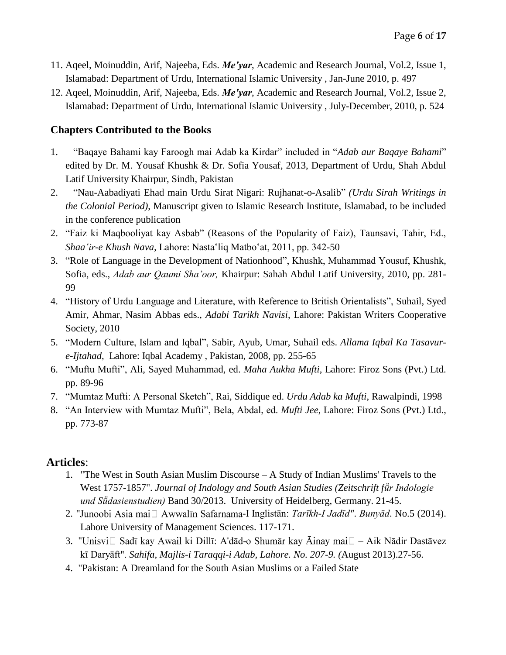- 11. Aqeel, Moinuddin, Arif, Najeeba, Eds. *Me'yar*, Academic and Research Journal, Vol.2, Issue 1, Islamabad: Department of Urdu, International Islamic University , Jan-June 2010, p. 497
- 12. Aqeel, Moinuddin, Arif, Najeeba, Eds. *Me'yar*, Academic and Research Journal, Vol.2, Issue 2, Islamabad: Department of Urdu, International Islamic University , July-December, 2010, p. 524

# **Chapters Contributed to the Books**

- 1. "Baqaye Bahami kay Faroogh mai Adab ka Kirdar" included in "*Adab aur Baqaye Bahami*" edited by Dr. M. Yousaf Khushk & Dr. Sofia Yousaf, 2013, Department of Urdu, Shah Abdul Latif University Khairpur, Sindh, Pakistan
- 2. "Nau-Aabadiyati Ehad main Urdu Sirat Nigari: Rujhanat-o-Asalib" *(Urdu Sirah Writings in the Colonial Period)*, Manuscript given to Islamic Research Institute, Islamabad, to be included in the conference publication
- 2. "Faiz ki Maqbooliyat kay Asbab" (Reasons of the Popularity of Faiz), Taunsavi, Tahir, Ed., *Shaa'ir-e Khush Nava,* Lahore: Nasta'liq Matbo'at, 2011, pp. 342-50
- 3. "Role of Language in the Development of Nationhood", Khushk, Muhammad Yousuf, Khushk, Sofia, eds., *Adab aur Qaumi Sha'oor,* Khairpur: Sahah Abdul Latif University, 2010, pp. 281- 99
- 4. "History of Urdu Language and Literature, with Reference to British Orientalists", Suhail, Syed Amir, Ahmar, Nasim Abbas eds., *Adabi Tarikh Navisi*, Lahore: Pakistan Writers Cooperative Society, 2010
- 5. "Modern Culture, Islam and Iqbal", Sabir, Ayub, Umar, Suhail eds. *Allama Iqbal Ka Tasavure-Ijtahad*, Lahore: Iqbal Academy , Pakistan, 2008, pp. 255-65
- 6. "Muftu Mufti", Ali, Sayed Muhammad, ed. *Maha Aukha Mufti*, Lahore: Firoz Sons (Pvt.) Ltd. pp. 89-96
- 7. "Mumtaz Mufti: A Personal Sketch", Rai, Siddique ed. *Urdu Adab ka Mufti*, Rawalpindi, 1998
- 8. "An Interview with Mumtaz Mufti", Bela, Abdal, ed. *Mufti Jee*, Lahore: Firoz Sons (Pvt.) Ltd., pp. 773-87

# **Articles**:

- 1. "The West in South Asian Muslim Discourse A Study of Indian Muslims' Travels to the West 1757-1857". *Journal of Indology and South Asian Studies (Zeitschrift für Indologie und Sṻdasienstudien)* Band 30/2013. University of Heidelberg, Germany. 21-45.
- 2. "Junoobi Asia mai□ Awwalīn Safarnama-I Inglistān: *Tarīkh-I Jadīd"*. *Bunyād*. No.5 (2014). Lahore University of Management Sciences. 117-171.
- 3. "Unisvi□ Sadī kay Awail ki Dillī: A'dād-o Shumār kay Āinay mai□ Aik Nādir Dastāvez kī Daryāft". *Sahifa, Majlis-i Taraqqi-i Adab, Lahore. No. 207-9. (*August 2013).27-56.
- 4. "Pakistan: A Dreamland for the South Asian Muslims or a Failed State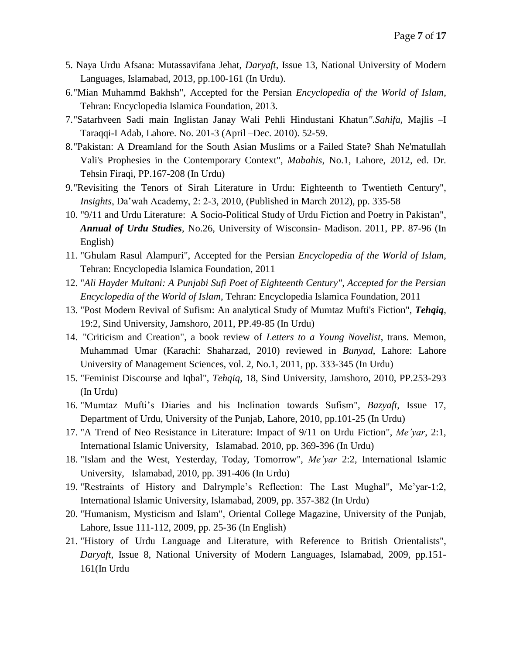- 5. Naya Urdu Afsana: Mutassavifana Jehat, *Daryaft*, Issue 13, National University of Modern Languages, Islamabad, 2013, pp.100-161 (In Urdu).
- 6."Mian Muhammd Bakhsh", Accepted for the Persian *Encyclopedia of the World of Islam*, Tehran: Encyclopedia Islamica Foundation, 2013.
- 7."Satarhveen Sadi main Inglistan Janay Wali Pehli Hindustani Khatun*".Sahifa,* Majlis –I Taraqqi-I Adab, Lahore. No. 201-3 (April –Dec. 2010). 52-59.
- 8."Pakistan: A Dreamland for the South Asian Muslims or a Failed State? Shah Ne'matullah Vali's Prophesies in the Contemporary Context", *Mabahis*, No.1, Lahore, 2012, ed. Dr. Tehsin Firaqi, PP.167-208 (In Urdu)
- 9."Revisiting the Tenors of Sirah Literature in Urdu: Eighteenth to Twentieth Century", *Insights*, Da'wah Academy, 2: 2-3, 2010, (Published in March 2012), pp. 335-58
- 10. "9/11 and Urdu Literature: A Socio-Political Study of Urdu Fiction and Poetry in Pakistan", *Annual of Urdu Studies*, No.26, University of Wisconsin- Madison. 2011, PP. 87-96 (In English)
- 11. "Ghulam Rasul Alampuri", Accepted for the Persian *Encyclopedia of the World of Islam*, Tehran: Encyclopedia Islamica Foundation, 2011
- 12. "*Ali Hayder Multani: A Punjabi Sufi Poet of Eighteenth Century", Accepted for the Persian Encyclopedia of the World of Islam*, Tehran: Encyclopedia Islamica Foundation, 2011
- 13. "Post Modern Revival of Sufism: An analytical Study of Mumtaz Mufti's Fiction", *Tehqiq*, 19:2, Sind University, Jamshoro, 2011, PP.49-85 (In Urdu)
- 14. "Criticism and Creation", a book review of *Letters to a Young Novelist*, trans. Memon, Muhammad Umar (Karachi: Shaharzad, 2010) reviewed in *Bunyad*, Lahore: Lahore University of Management Sciences, vol. 2, No.1, 2011, pp. 333-345 (In Urdu)
- 15. "Feminist Discourse and Iqbal", *Tehqiq*, 18, Sind University, Jamshoro, 2010, PP.253-293 (In Urdu)
- 16. "Mumtaz Mufti's Diaries and his Inclination towards Sufism", *Bazyaft*, Issue 17, Department of Urdu, University of the Punjab, Lahore, 2010, pp.101-25 (In Urdu)
- 17. "A Trend of Neo Resistance in Literature: Impact of 9/11 on Urdu Fiction", *Me'yar*, 2:1, International Islamic University, Islamabad. 2010, pp. 369-396 (In Urdu)
- 18. "Islam and the West, Yesterday, Today, Tomorrow", *Me'yar* 2:2, International Islamic University, Islamabad, 2010, pp. 391-406 (In Urdu)
- 19. "Restraints of History and Dalrymple's Reflection: The Last Mughal", Me'yar-1:2, International Islamic University, Islamabad, 2009, pp. 357-382 (In Urdu)
- 20. "Humanism, Mysticism and Islam", Oriental College Magazine, University of the Punjab, Lahore, Issue 111-112, 2009, pp. 25-36 (In English)
- 21. "History of Urdu Language and Literature, with Reference to British Orientalists", *Daryaft*, Issue 8, National University of Modern Languages, Islamabad, 2009, pp.151- 161(In Urdu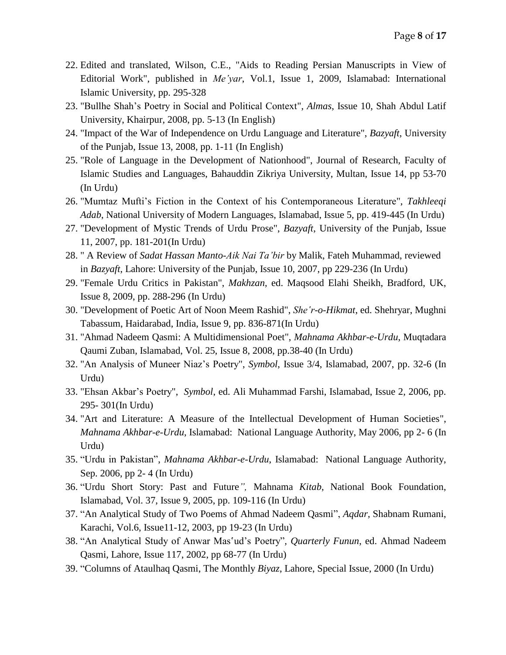- 22. Edited and translated, Wilson, C.E., "Aids to Reading Persian Manuscripts in View of Editorial Work", published in *Me'yar*, Vol.1, Issue 1, 2009, Islamabad: International Islamic University, pp. 295-328
- 23. "Bullhe Shah's Poetry in Social and Political Context", *Almas*, Issue 10, Shah Abdul Latif University, Khairpur, 2008, pp. 5-13 (In English)
- 24. "Impact of the War of Independence on Urdu Language and Literature", *Bazyaft*, University of the Punjab, Issue 13, 2008, pp. 1-11 (In English)
- 25. "Role of Language in the Development of Nationhood", Journal of Research, Faculty of Islamic Studies and Languages, Bahauddin Zikriya University, Multan, Issue 14, pp 53-70 (In Urdu)
- 26. "Mumtaz Mufti's Fiction in the Context of his Contemporaneous Literature", *Takhleeqi Adab*, National University of Modern Languages, Islamabad, Issue 5, pp. 419-445 (In Urdu)
- 27. "Development of Mystic Trends of Urdu Prose", *Bazyaft*, University of the Punjab, Issue 11, 2007, pp. 181-201(In Urdu)
- 28. " A Review of *Sadat Hassan Manto-Aik Nai Ta'bir* by Malik, Fateh Muhammad, reviewed in *Bazyaft*, Lahore: University of the Punjab, Issue 10, 2007, pp 229-236 (In Urdu)
- 29. "Female Urdu Critics in Pakistan", *Makhzan*, ed. Maqsood Elahi Sheikh, Bradford, UK, Issue 8, 2009, pp. 288-296 (In Urdu)
- 30. "Development of Poetic Art of Noon Meem Rashid", *She'r-o-Hikmat*, ed. Shehryar, Mughni Tabassum, Haidarabad, India, Issue 9, pp. 836-871(In Urdu)
- 31. "Ahmad Nadeem Qasmi: A Multidimensional Poet", *Mahnama Akhbar-e-Urdu*, Muqtadara Qaumi Zuban, Islamabad, Vol. 25, Issue 8, 2008, pp.38-40 (In Urdu)
- 32. "An Analysis of Muneer Niaz's Poetry", *Symbol*, Issue 3/4, Islamabad, 2007, pp. 32-6 (In Urdu)
- 33. "Ehsan Akbar's Poetry", *Symbol*, ed. Ali Muhammad Farshi, Islamabad, Issue 2, 2006, pp. 295- 301(In Urdu)
- 34. "Art and Literature: A Measure of the Intellectual Development of Human Societies", *Mahnama Akhbar-e-Urdu*, Islamabad: National Language Authority, May 2006, pp 2- 6 (In Urdu)
- 35. "Urdu in Pakistan", *Mahnama Akhbar-e-Urdu*, Islamabad: National Language Authority, Sep. 2006, pp 2- 4 (In Urdu)
- 36. "Urdu Short Story: Past and Future*",* Mahnama *Kitab*, National Book Foundation, Islamabad, Vol. 37, Issue 9, 2005, pp. 109-116 (In Urdu)
- 37. "An Analytical Study of Two Poems of Ahmad Nadeem Qasmi", *Aqdar*, Shabnam Rumani, Karachi, Vol.6, Issue11-12, 2003, pp 19-23 (In Urdu)
- 38. "An Analytical Study of Anwar Mas'ud's Poetry"*, Quarterly Funun*, ed. Ahmad Nadeem Qasmi, Lahore, Issue 117, 2002, pp 68-77 (In Urdu)
- 39. "Columns of Ataulhaq Qasmi, The Monthly *Biyaz*, Lahore, Special Issue, 2000 (In Urdu)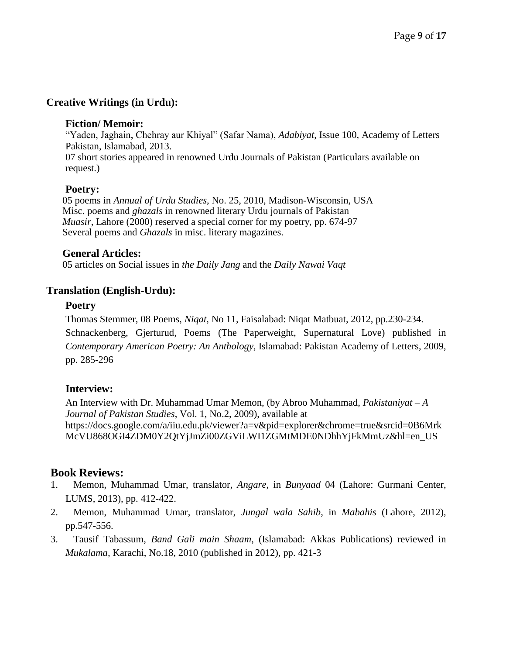## **Creative Writings (in Urdu):**

#### **Fiction/ Memoir:**

"Yaden, Jaghain, Chehray aur Khiyal" (Safar Nama), *Adabiyat*, Issue 100, Academy of Letters Pakistan, Islamabad, 2013. 07 short stories appeared in renowned Urdu Journals of Pakistan (Particulars available on request.)

#### **Poetry:**

05 poems in *Annual of Urdu Studies*, No. 25, 2010, Madison-Wisconsin, USA Misc. poems and *ghazals* in renowned literary Urdu journals of Pakistan *Muasir*, Lahore (2000) reserved a special corner for my poetry, pp. 674-97 Several poems and *Ghazals* in misc. literary magazines.

#### **General Articles:**

05 articles on Social issues in *the Daily Jang* and the *Daily Nawai Vaqt*

# **Translation (English-Urdu):**

#### **Poetry**

Thomas Stemmer, 08 Poems, *Niqat,* No 11, Faisalabad: Niqat Matbuat, 2012, pp.230-234. Schnackenberg, Gjerturud, Poems (The Paperweight, Supernatural Love) published in *Contemporary American Poetry: An Anthology,* Islamabad: Pakistan Academy of Letters, 2009, pp. 285-296

## **Interview:**

An Interview with Dr. Muhammad Umar Memon, (by Abroo Muhammad, *Pakistaniyat – A Journal of Pakistan Studies*, Vol. 1, No.2, 2009), available at https://docs.google.com/a/iiu.edu.pk/viewer?a=v&pid=explorer&chrome=true&srcid=0B6Mrk McVU868OGI4ZDM0Y2QtYjJmZi00ZGViLWI1ZGMtMDE0NDhhYjFkMmUz&hl=en\_US

# **Book Reviews:**

- 1. Memon, Muhammad Umar, translator, *Angare*, in *Bunyaad* 04 (Lahore: Gurmani Center, LUMS, 2013), pp. 412-422.
- 2. Memon, Muhammad Umar, translator, *Jungal wala Sahib*, in *Mabahis* (Lahore, 2012), pp.547-556.
- 3. Tausif Tabassum, *Band Gali main Shaam*, (Islamabad: Akkas Publications) reviewed in *Mukalama,* Karachi, No.18, 2010 (published in 2012), pp. 421-3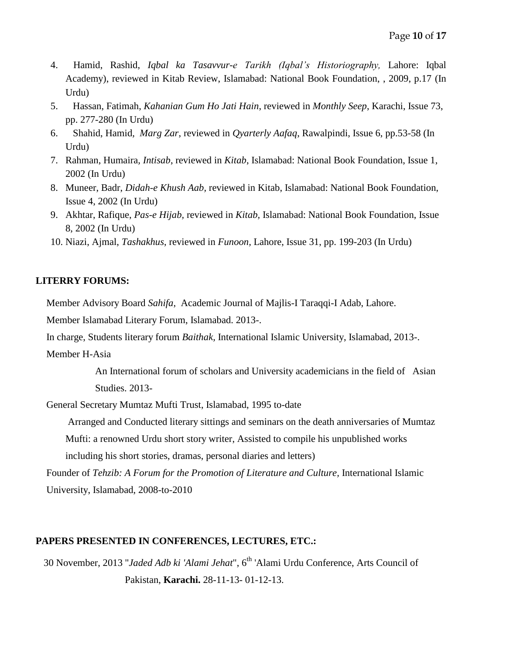- 4. Hamid, Rashid, *Iqbal ka Tasavvur-e Tarikh (Iqbal's Historiography,* Lahore: Iqbal Academy), reviewed in Kitab Review, Islamabad: National Book Foundation, , 2009, p.17 (In Urdu)
- 5. Hassan, Fatimah, *Kahanian Gum Ho Jati Hain*, reviewed in *Monthly Seep*, Karachi, Issue 73, pp. 277-280 (In Urdu)
- 6. Shahid, Hamid*, Marg Zar*, reviewed in *Qyarterly Aafaq*, Rawalpindi, Issue 6, pp.53-58 (In Urdu)
- 7. Rahman, Humaira*, Intisab*, reviewed in *Kitab*, Islamabad: National Book Foundation, Issue 1, 2002 (In Urdu)
- 8. Muneer, Badr, *Didah-e Khush Aab,* reviewed in Kitab, Islamabad: National Book Foundation, Issue 4, 2002 (In Urdu)
- 9. Akhtar, Rafique, *Pas-e Hijab,* reviewed in *Kitab,* Islamabad: National Book Foundation, Issue 8, 2002 (In Urdu)
- 10. Niazi, Ajmal, *Tashakhus*, reviewed in *Funoon,* Lahore, Issue 31, pp. 199-203 (In Urdu)

# **LITERRY FORUMS:**

Member Advisory Board *Sahifa*, Academic Journal of Majlis-I Taraqqi-I Adab, Lahore.

Member Islamabad Literary Forum, Islamabad. 2013-.

In charge, Students literary forum *Baithak,* International Islamic University, Islamabad, 2013-.

Member H-Asia

An International forum of scholars and University academicians in the field of Asian Studies. 2013-

General Secretary Mumtaz Mufti Trust, Islamabad, 1995 to-date

Arranged and Conducted literary sittings and seminars on the death anniversaries of Mumtaz Mufti: a renowned Urdu short story writer, Assisted to compile his unpublished works including his short stories, dramas, personal diaries and letters)

Founder of *Tehzib: A Forum for the Promotion of Literature and Culture,* International Islamic University, Islamabad, 2008-to-2010

# **PAPERS PRESENTED IN CONFERENCES, LECTURES, ETC.:**

30 November, 2013 "Jaded Adb ki 'Alami Jehat", 6<sup>th</sup> 'Alami Urdu Conference, Arts Council of Pakistan, **Karachi.** 28-11-13- 01-12-13.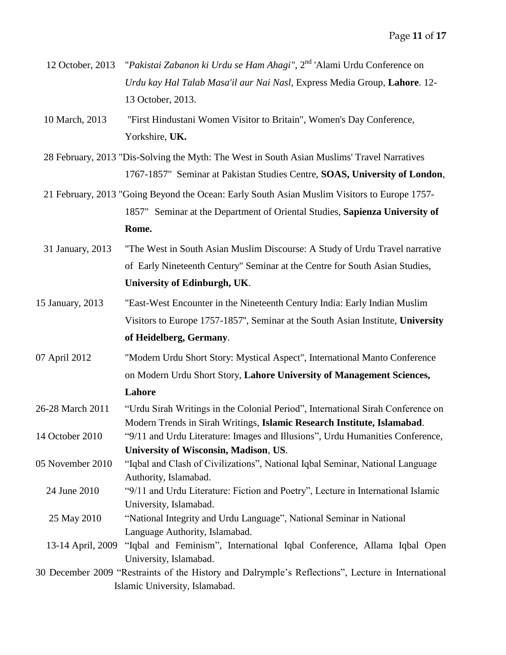- 12 October, 2013 "*Pakistai Zabanon ki Urdu se Ham Ahagi"*, 2nd 'Alami Urdu Conference on *Urdu kay Hal Talab Masa'il aur Nai Nasl*, Express Media Group, **Lahore**. 12- 13 October, 2013.
- 10 March, 2013 "First Hindustani Women Visitor to Britain", Women's Day Conference, Yorkshire, **UK.**
- 28 February, 2013 "Dis-Solving the Myth: The West in South Asian Muslims' Travel Narratives 1767-1857" Seminar at Pakistan Studies Centre, **SOAS, University of London**,
- 21 February, 2013 "Going Beyond the Ocean: Early South Asian Muslim Visitors to Europe 1757- 1857" Seminar at the Department of Oriental Studies, **Sapienza University of Rome.**
- 31 January, 2013 "The West in South Asian Muslim Discourse: A Study of Urdu Travel narrative of Early Nineteenth Century" Seminar at the Centre for South Asian Studies, **University of Edinburgh, UK**.
- 15 January, 2013 "East-West Encounter in the Nineteenth Century India: Early Indian Muslim Visitors to Europe 1757-1857'', Seminar at the South Asian Institute, **University of Heidelberg, Germany**.
- 07 April 2012 "Modern Urdu Short Story: Mystical Aspect", International Manto Conference on Modern Urdu Short Story, **Lahore University of Management Sciences, Lahore**
- 26-28 March 2011 "Urdu Sirah Writings in the Colonial Period", International Sirah Conference on Modern Trends in Sirah Writings, **Islamic Research Institute, Islamabad**.
- 14 October 2010 "9/11 and Urdu Literature: Images and Illusions", Urdu Humanities Conference, **University of Wisconsin, Madison**, **US**.
- 05 November 2010 "Iqbal and Clash of Civilizations", National Iqbal Seminar, National Language Authority, Islamabad.
- 24 June 2010 "9/11 and Urdu Literature: Fiction and Poetry", Lecture in International Islamic University, Islamabad.
- 25 May 2010 "National Integrity and Urdu Language", National Seminar in National Language Authority, Islamabad.
- 13-14 April, 2009 "Iqbal and Feminism"*,* International Iqbal Conference, Allama Iqbal Open University, Islamabad.

30 December 2009 "Restraints of the History and Dalrymple's Reflections", Lecture in International Islamic University, Islamabad.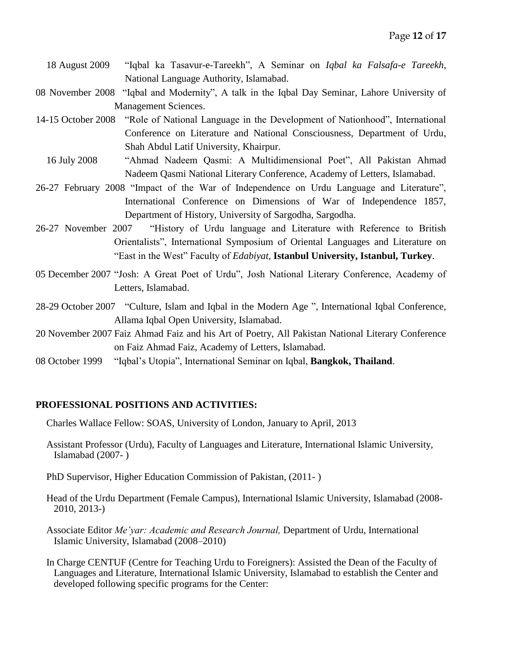- 18 August 2009 "Iqbal ka Tasavur-e-Tareekh", A Seminar on *Iqbal ka Falsafa-e Tareekh*, National Language Authority, Islamabad.
- 08 November 2008 "Iqbal and Modernity", A talk in the Iqbal Day Seminar, Lahore University of Management Sciences.
- 14-15 October 2008 "Role of National Language in the Development of Nationhood", International Conference on Literature and National Consciousness, Department of Urdu, Shah Abdul Latif University, Khairpur.
	- 16 July 2008 "Ahmad Nadeem Qasmi: A Multidimensional Poet", All Pakistan Ahmad Nadeem Qasmi National Literary Conference, Academy of Letters, Islamabad.
- 26-27 February 2008 "Impact of the War of Independence on Urdu Language and Literature", International Conference on Dimensions of War of Independence 1857, Department of History, University of Sargodha, Sargodha.
- 26-27 November 2007 "History of Urdu language and Literature with Reference to British Orientalists", International Symposium of Oriental Languages and Literature on "East in the West" Faculty of *Edabiyat*, **Istanbul University, Istanbul, Turkey**.
- 05 December 2007 "Josh: A Great Poet of Urdu", Josh National Literary Conference, Academy of Letters, Islamabad.
- 28-29 October 2007 "Culture, Islam and Iqbal in the Modern Age ", International Iqbal Conference, Allama Iqbal Open University, Islamabad.
- 20 November 2007 Faiz Ahmad Faiz and his Art of Poetry, All Pakistan National Literary Conference on Faiz Ahmad Faiz, Academy of Letters, Islamabad.
- 08 October 1999 "Iqbal's Utopia", International Seminar on Iqbal, **Bangkok, Thailand**.

#### **PROFESSIONAL POSITIONS AND ACTIVITIES:**

Charles Wallace Fellow: SOAS, University of London, January to April, 2013

- Assistant Professor (Urdu), Faculty of Languages and Literature, International Islamic University, Islamabad (2007- )
- PhD Supervisor, Higher Education Commission of Pakistan, (2011- )
- Head of the Urdu Department (Female Campus), International Islamic University, Islamabad (2008- 2010, 2013-)
- Associate Editor *Me'yar: Academic and Research Journal,* Department of Urdu, International Islamic University, Islamabad (2008–2010)
- In Charge CENTUF (Centre for Teaching Urdu to Foreigners): Assisted the Dean of the Faculty of Languages and Literature, International Islamic University, Islamabad to establish the Center and developed following specific programs for the Center: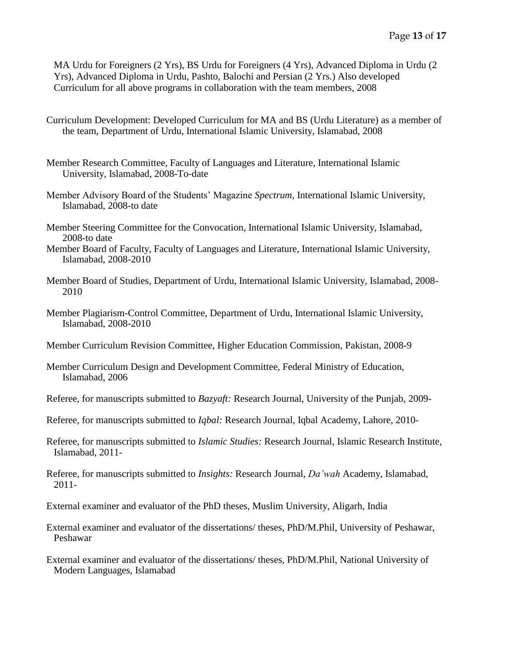MA Urdu for Foreigners (2 Yrs), BS Urdu for Foreigners (4 Yrs), Advanced Diploma in Urdu (2 Yrs), Advanced Diploma in Urdu, Pashto, Balochi and Persian (2 Yrs.) Also developed Curriculum for all above programs in collaboration with the team members, 2008

- Curriculum Development: Developed Curriculum for MA and BS (Urdu Literature) as a member of the team, Department of Urdu, International Islamic University, Islamabad, 2008
- Member Research Committee, Faculty of Languages and Literature, International Islamic University, Islamabad, 2008-To-date
- Member Advisory Board of the Students' Magazine *Spectrum*, International Islamic University, Islamabad, 2008-to date
- Member Steering Committee for the Convocation, International Islamic University, Islamabad, 2008-to date
- Member Board of Faculty, Faculty of Languages and Literature, International Islamic University, Islamabad, 2008-2010
- Member Board of Studies, Department of Urdu, International Islamic University, Islamabad, 2008- 2010
- Member Plagiarism-Control Committee, Department of Urdu, International Islamic University, Islamabad, 2008-2010
- Member Curriculum Revision Committee, Higher Education Commission, Pakistan, 2008-9
- Member Curriculum Design and Development Committee, Federal Ministry of Education, Islamabad, 2006
- Referee, for manuscripts submitted to *Bazyaft:* Research Journal, University of the Punjab, 2009-
- Referee, for manuscripts submitted to *Iqbal:* Research Journal, Iqbal Academy, Lahore, 2010-
- Referee, for manuscripts submitted to *Islamic Studies:* Research Journal, Islamic Research Institute, Islamabad, 2011-
- Referee, for manuscripts submitted to *Insights:* Research Journal, *Da'wah* Academy, Islamabad, 2011-

External examiner and evaluator of the PhD theses, Muslim University, Aligarh, India

External examiner and evaluator of the dissertations/ theses, PhD/M.Phil, University of Peshawar, Peshawar

External examiner and evaluator of the dissertations/ theses, PhD/M.Phil, National University of Modern Languages, Islamabad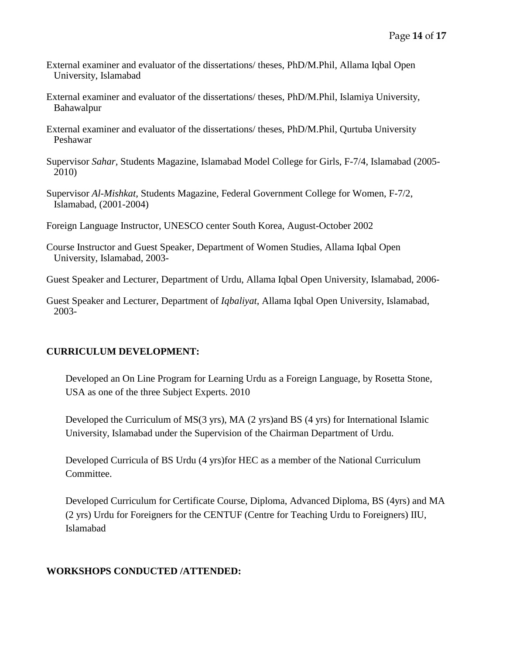- External examiner and evaluator of the dissertations/ theses, PhD/M.Phil, Allama Iqbal Open University, Islamabad
- External examiner and evaluator of the dissertations/ theses, PhD/M.Phil, Islamiya University, Bahawalpur
- External examiner and evaluator of the dissertations/ theses, PhD/M.Phil, Qurtuba University Peshawar
- Supervisor *Sahar,* Students Magazine, Islamabad Model College for Girls, F-7/4, Islamabad (2005- 2010)
- Supervisor *Al-Mishkat,* Students Magazine, Federal Government College for Women, F-7/2, Islamabad, (2001-2004)
- Foreign Language Instructor, UNESCO center South Korea, August-October 2002
- Course Instructor and Guest Speaker, Department of Women Studies, Allama Iqbal Open University, Islamabad, 2003-
- Guest Speaker and Lecturer, Department of Urdu, Allama Iqbal Open University, Islamabad, 2006-
- Guest Speaker and Lecturer, Department of *Iqbaliyat*, Allama Iqbal Open University, Islamabad, 2003-

## **CURRICULUM DEVELOPMENT:**

Developed an On Line Program for Learning Urdu as a Foreign Language, by Rosetta Stone, USA as one of the three Subject Experts. 2010

Developed the Curriculum of MS(3 yrs), MA (2 yrs)and BS (4 yrs) for International Islamic University, Islamabad under the Supervision of the Chairman Department of Urdu.

Developed Curricula of BS Urdu (4 yrs)for HEC as a member of the National Curriculum Committee.

Developed Curriculum for Certificate Course, Diploma, Advanced Diploma, BS (4yrs) and MA (2 yrs) Urdu for Foreigners for the CENTUF (Centre for Teaching Urdu to Foreigners) IIU, Islamabad

## **WORKSHOPS CONDUCTED /ATTENDED:**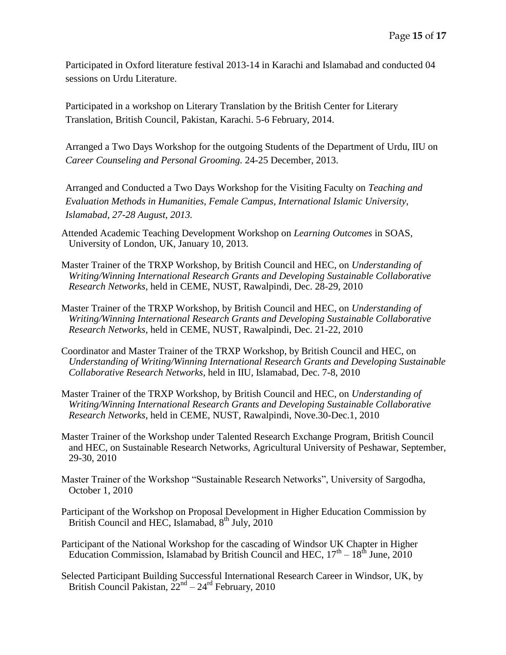Participated in Oxford literature festival 2013-14 in Karachi and Islamabad and conducted 04 sessions on Urdu Literature.

Participated in a workshop on Literary Translation by the British Center for Literary Translation, British Council, Pakistan, Karachi. 5-6 February, 2014.

Arranged a Two Days Workshop for the outgoing Students of the Department of Urdu, IIU on *Career Counseling and Personal Grooming.* 24-25 December, 2013.

Arranged and Conducted a Two Days Workshop for the Visiting Faculty on *Teaching and Evaluation Methods in Humanities, Female Campus, International Islamic University, Islamabad, 27-28 August, 2013.*

- Attended Academic Teaching Development Workshop on *Learning Outcomes* in SOAS, University of London, UK, January 10, 2013.
- Master Trainer of the TRXP Workshop, by British Council and HEC, on *Understanding of Writing/Winning International Research Grants and Developing Sustainable Collaborative Research Networks*, held in CEME, NUST, Rawalpindi, Dec. 28-29, 2010
- Master Trainer of the TRXP Workshop, by British Council and HEC, on *Understanding of Writing/Winning International Research Grants and Developing Sustainable Collaborative Research Networks*, held in CEME, NUST, Rawalpindi, Dec. 21-22, 2010
- Coordinator and Master Trainer of the TRXP Workshop, by British Council and HEC, on *Understanding of Writing/Winning International Research Grants and Developing Sustainable Collaborative Research Networks*, held in IIU, Islamabad, Dec. 7-8, 2010
- Master Trainer of the TRXP Workshop, by British Council and HEC, on *Understanding of Writing/Winning International Research Grants and Developing Sustainable Collaborative Research Networks*, held in CEME, NUST, Rawalpindi, Nove.30-Dec.1, 2010
- Master Trainer of the Workshop under Talented Research Exchange Program, British Council and HEC, on Sustainable Research Networks, Agricultural University of Peshawar, September, 29-30, 2010
- Master Trainer of the Workshop "Sustainable Research Networks", University of Sargodha, October 1, 2010
- Participant of the Workshop on Proposal Development in Higher Education Commission by British Council and HEC, Islamabad,  $8^{th}$  July,  $2010$
- Participant of the National Workshop for the cascading of Windsor UK Chapter in Higher Education Commission, Islamabad by British Council and HEC,  $17<sup>th</sup> - 18<sup>th</sup>$  June,  $2010$
- Selected Participant Building Successful International Research Career in Windsor, UK, by British Council Pakistan,  $22<sup>nd</sup> - 24<sup>rd</sup>$  February, 2010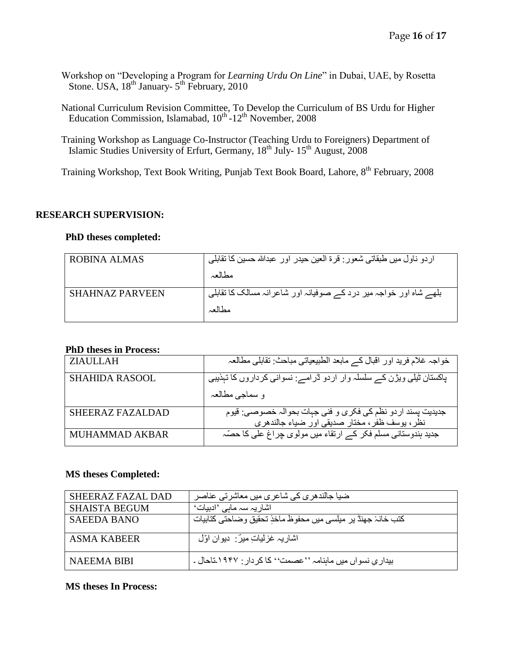- Workshop on "Developing a Program for *Learning Urdu On Line*" in Dubai, UAE, by Rosetta Stone. USA,  $18^{th}$  January-  $5^{th}$  February, 2010
- National Curriculum Revision Committee, To Develop the Curriculum of BS Urdu for Higher Education Commission, Islamabad, 10<sup>th</sup> -12<sup>th</sup> November, 2008
- Training Workshop as Language Co-Instructor (Teaching Urdu to Foreigners) Department of Islamic Studies University of Erfurt, Germany, 18<sup>th</sup> July- 15<sup>th</sup> August, 2008

Training Workshop, Text Book Writing, Punjab Text Book Board, Lahore, 8<sup>th</sup> February, 2008

#### **RESEARCH SUPERVISION:**

#### **PhD theses completed:**

| اردو ناول میں طبقاتی شعور : قرۃ العین حیدر اور عبداللہ حسین کا تقابلی |
|-----------------------------------------------------------------------|
|                                                                       |
| بلهے شاہ اور خواجہ میر درد کے صوفیانہ اور شاعرانہ مسالک کا تقابلی     |
|                                                                       |
|                                                                       |

#### **PhD theses in Process:**

| <b>ZIAULLAH</b>       | خواجہ غلام فرید اور اقبال کے مابعد الطبیعیاتی مباحث: تقابلی مطالعہ                                           |
|-----------------------|--------------------------------------------------------------------------------------------------------------|
| <b>SHAHIDA RASOOL</b> | پاکستان ٹیلی ویژن کے سلسلہ وار اردو ڈرامے: نسوانی کرداروں کا تہذیبی                                          |
|                       | و سماجي مطالعہ                                                                                               |
| SHEERAZ FAZALDAD      | جدیدیت پسند اردو نظم کی فکری و فنی جہات بحوالہ خصوصی: قیوم<br>نظر ، پوسف ظفر ، مختار صدیقی اور ضیاء جالندھری |
| <b>MUHAMMAD AKBAR</b> | جدید ہندوستانی مسلم فکر کے ارتقاء میں مولوی چراغ علی کا حصّہ                                                 |

#### **MS theses Completed:**

| SHEERAZ FAZAL DAD    | ضیا جالندھری کی شاعری میں معاشرتی عناصر                     |
|----------------------|-------------------------------------------------------------|
| <b>SHAISTA BEGUM</b> | اشاریہ سہ ماہی 'ادبیات'                                     |
| SAEEDA BANO          | كتب خانۂ جهنڈ پر ميلسى ميں محفوظ مآخذِ تحقيق وضاحتى كتابيات |
|                      |                                                             |
| ASMA KABEER          | اشاریہ غزلیات میں بنیوان اوّل                               |
| NAEEMA BIBI          | بیداری نسواں میں ماہنامہ ''عصمت'' کا کردار : ۱۹۴۷ تاحال ۔   |

#### **MS theses In Process:**